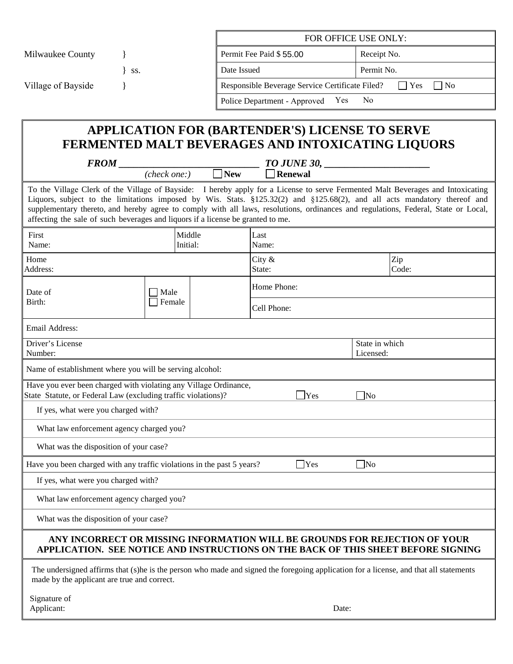|                                                                                                                                                                                                                                                                                                                                                                                                                                                                                      |                    |             | FOR OFFICE USE ONLY:                            |                                                                                                                                       |  |  |
|--------------------------------------------------------------------------------------------------------------------------------------------------------------------------------------------------------------------------------------------------------------------------------------------------------------------------------------------------------------------------------------------------------------------------------------------------------------------------------------|--------------------|-------------|-------------------------------------------------|---------------------------------------------------------------------------------------------------------------------------------------|--|--|
|                                                                                                                                                                                                                                                                                                                                                                                                                                                                                      |                    |             | Permit Fee Paid \$55.00                         |                                                                                                                                       |  |  |
| Milwaukee County                                                                                                                                                                                                                                                                                                                                                                                                                                                                     |                    |             |                                                 | Receipt No.                                                                                                                           |  |  |
| SS.                                                                                                                                                                                                                                                                                                                                                                                                                                                                                  |                    | Date Issued |                                                 | Permit No.                                                                                                                            |  |  |
| Village of Bayside                                                                                                                                                                                                                                                                                                                                                                                                                                                                   |                    |             | Responsible Beverage Service Certificate Filed? | $ $ Yes<br>$\vert$   No                                                                                                               |  |  |
|                                                                                                                                                                                                                                                                                                                                                                                                                                                                                      |                    |             | Police Department - Approved Yes                | N <sub>o</sub>                                                                                                                        |  |  |
|                                                                                                                                                                                                                                                                                                                                                                                                                                                                                      |                    |             |                                                 |                                                                                                                                       |  |  |
| <b>APPLICATION FOR (BARTENDER'S) LICENSE TO SERVE</b><br>FERMENTED MALT BEVERAGES AND INTOXICATING LIQUORS                                                                                                                                                                                                                                                                                                                                                                           |                    |             |                                                 |                                                                                                                                       |  |  |
|                                                                                                                                                                                                                                                                                                                                                                                                                                                                                      |                    |             |                                                 |                                                                                                                                       |  |  |
|                                                                                                                                                                                                                                                                                                                                                                                                                                                                                      |                    |             |                                                 |                                                                                                                                       |  |  |
| To the Village Clerk of the Village of Bayside: I hereby apply for a License to serve Fermented Malt Beverages and Intoxicating<br>Liquors, subject to the limitations imposed by Wis. Stats. §125.32(2) and §125.68(2), and all acts mandatory thereof and<br>supplementary thereto, and hereby agree to comply with all laws, resolutions, ordinances and regulations, Federal, State or Local,<br>affecting the sale of such beverages and liquors if a license be granted to me. |                    |             |                                                 |                                                                                                                                       |  |  |
| First<br>Name:                                                                                                                                                                                                                                                                                                                                                                                                                                                                       | Middle<br>Initial: |             | Last<br>Name:                                   |                                                                                                                                       |  |  |
| Home<br>Address:                                                                                                                                                                                                                                                                                                                                                                                                                                                                     |                    |             | City $\&$<br>State:                             | Zip<br>Code:                                                                                                                          |  |  |
| Date of                                                                                                                                                                                                                                                                                                                                                                                                                                                                              | $\Box$ Male        |             | Home Phone:                                     |                                                                                                                                       |  |  |
| Birth:                                                                                                                                                                                                                                                                                                                                                                                                                                                                               | Female             |             | Cell Phone:                                     |                                                                                                                                       |  |  |
| Email Address:                                                                                                                                                                                                                                                                                                                                                                                                                                                                       |                    |             |                                                 |                                                                                                                                       |  |  |
| Driver's License<br>Number:                                                                                                                                                                                                                                                                                                                                                                                                                                                          |                    |             |                                                 | State in which<br>Licensed:                                                                                                           |  |  |
| Name of establishment where you will be serving alcohol:                                                                                                                                                                                                                                                                                                                                                                                                                             |                    |             |                                                 |                                                                                                                                       |  |  |
| Have you ever been charged with violating any Village Ordinance,<br>State Statute, or Federal Law (excluding traffic violations)?<br>Yes<br>$\Box$ No                                                                                                                                                                                                                                                                                                                                |                    |             |                                                 |                                                                                                                                       |  |  |
| If yes, what were you charged with?                                                                                                                                                                                                                                                                                                                                                                                                                                                  |                    |             |                                                 |                                                                                                                                       |  |  |
| What law enforcement agency charged you?                                                                                                                                                                                                                                                                                                                                                                                                                                             |                    |             |                                                 |                                                                                                                                       |  |  |
| What was the disposition of your case?                                                                                                                                                                                                                                                                                                                                                                                                                                               |                    |             |                                                 |                                                                                                                                       |  |  |
| Have you been charged with any traffic violations in the past 5 years?                                                                                                                                                                                                                                                                                                                                                                                                               |                    |             | $\Box$ Yes                                      | $\Box$ No                                                                                                                             |  |  |
| If yes, what were you charged with?                                                                                                                                                                                                                                                                                                                                                                                                                                                  |                    |             |                                                 |                                                                                                                                       |  |  |
| What law enforcement agency charged you?                                                                                                                                                                                                                                                                                                                                                                                                                                             |                    |             |                                                 |                                                                                                                                       |  |  |
| What was the disposition of your case?                                                                                                                                                                                                                                                                                                                                                                                                                                               |                    |             |                                                 |                                                                                                                                       |  |  |
| ANY INCORRECT OR MISSING INFORMATION WILL BE GROUNDS FOR REJECTION OF YOUR<br>APPLICATION. SEE NOTICE AND INSTRUCTIONS ON THE BACK OF THIS SHEET BEFORE SIGNING                                                                                                                                                                                                                                                                                                                      |                    |             |                                                 |                                                                                                                                       |  |  |
| made by the applicant are true and correct.                                                                                                                                                                                                                                                                                                                                                                                                                                          |                    |             |                                                 | The undersigned affirms that (s)he is the person who made and signed the foregoing application for a license, and that all statements |  |  |

| Signature of |       |  |
|--------------|-------|--|
| Applicant:   | Date: |  |